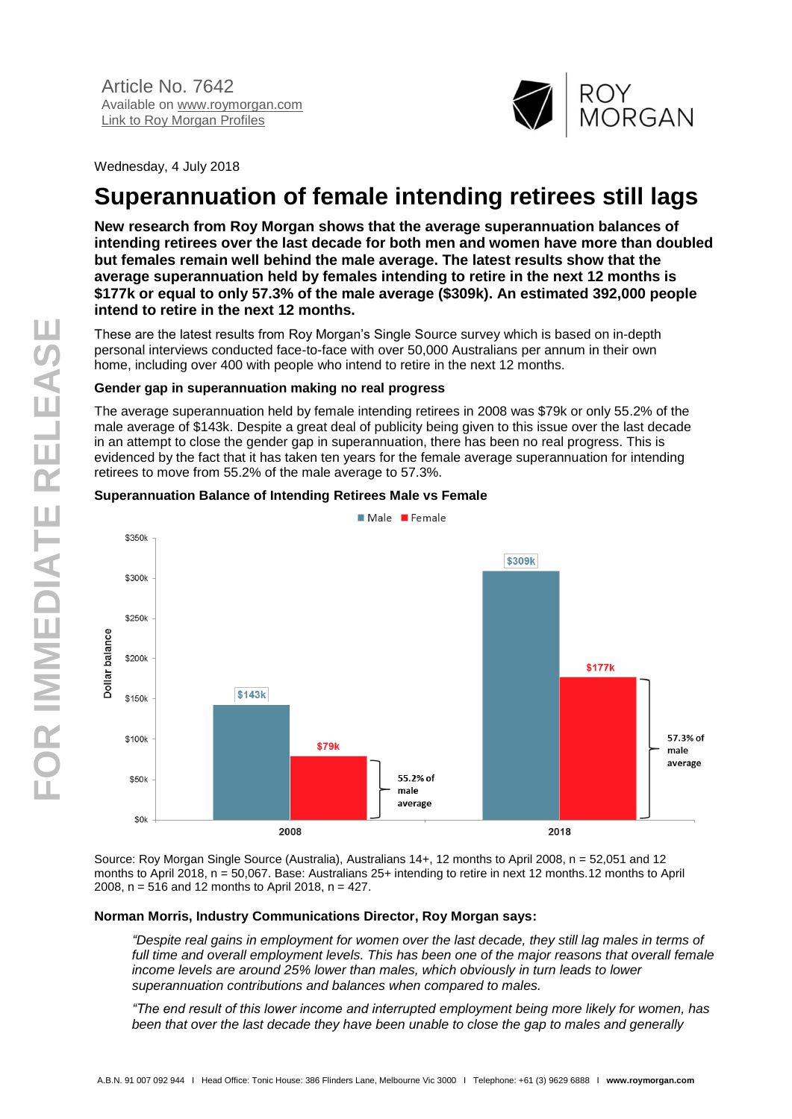

Wednesday, 4 July 2018

# **Superannuation of female intending retirees still lags**

**New research from Roy Morgan shows that the average superannuation balances of intending retirees over the last decade for both men and women have more than doubled but females remain well behind the male average. The latest results show that the average superannuation held by females intending to retire in the next 12 months is \$177k or equal to only 57.3% of the male average (\$309k). An estimated 392,000 people intend to retire in the next 12 months.**

These are the latest results from Roy Morgan's Single Source survey which is based on in-depth personal interviews conducted face-to-face with over 50,000 Australians per annum in their own home, including over 400 with people who intend to retire in the next 12 months.

# **Gender gap in superannuation making no real progress**

The average superannuation held by female intending retirees in 2008 was \$79k or only 55.2% of the male average of \$143k. Despite a great deal of publicity being given to this issue over the last decade in an attempt to close the gender gap in superannuation, there has been no real progress. This is evidenced by the fact that it has taken ten years for the female average superannuation for intending retirees to move from 55.2% of the male average to 57.3%.

# **Superannuation Balance of Intending Retirees Male vs Female**



Source: Roy Morgan Single Source (Australia), Australians 14+, 12 months to April 2008, n = 52,051 and 12 months to April 2018, n = 50,067. Base: Australians 25+ intending to retire in next 12 months.12 months to April 2008, n = 516 and 12 months to April 2018, n = 427.

#### **Norman Morris, Industry Communications Director, Roy Morgan says:**

*"Despite real gains in employment for women over the last decade, they still lag males in terms of*  full time and overall employment levels. This has been one of the major reasons that overall female *income levels are around 25% lower than males, which obviously in turn leads to lower superannuation contributions and balances when compared to males.*

*"The end result of this lower income and interrupted employment being more likely for women, has been that over the last decade they have been unable to close the gap to males and generally*